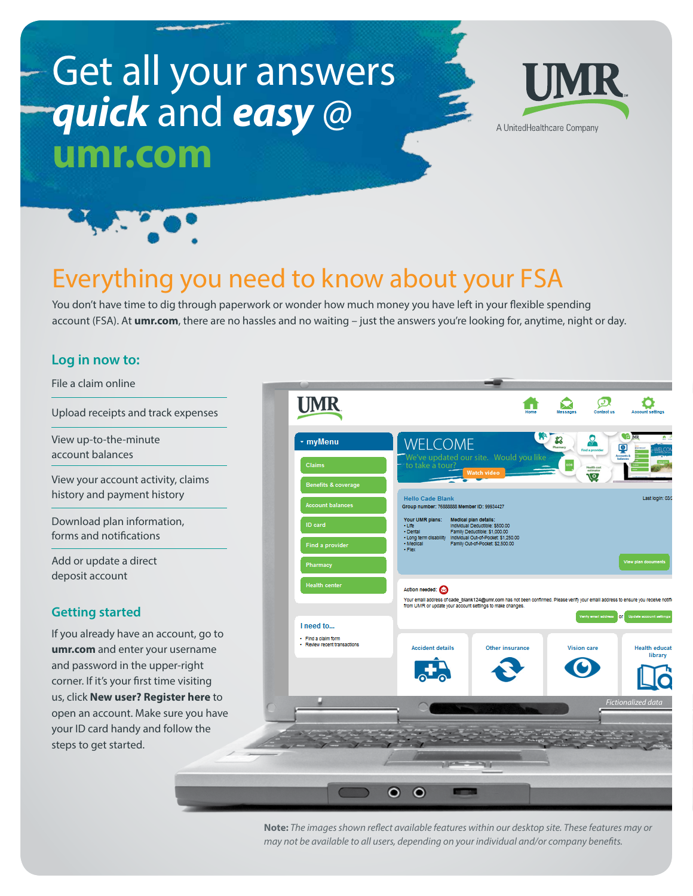# Get all your answers *quick* and *easy* @ **umr.com**





## Everything you need to know about your FSA

You don't have time to dig through paperwork or wonder how much money you have left in your flexible spending account (FSA). At **umr.com**, there are no hassles and no waiting – just the answers you're looking for, anytime, night or day.

#### **Log in now to:**



**Note:** *The images shown reflect available features within our desktop site. These features may or may not be available to all users, depending on your individual and/or company benefits.*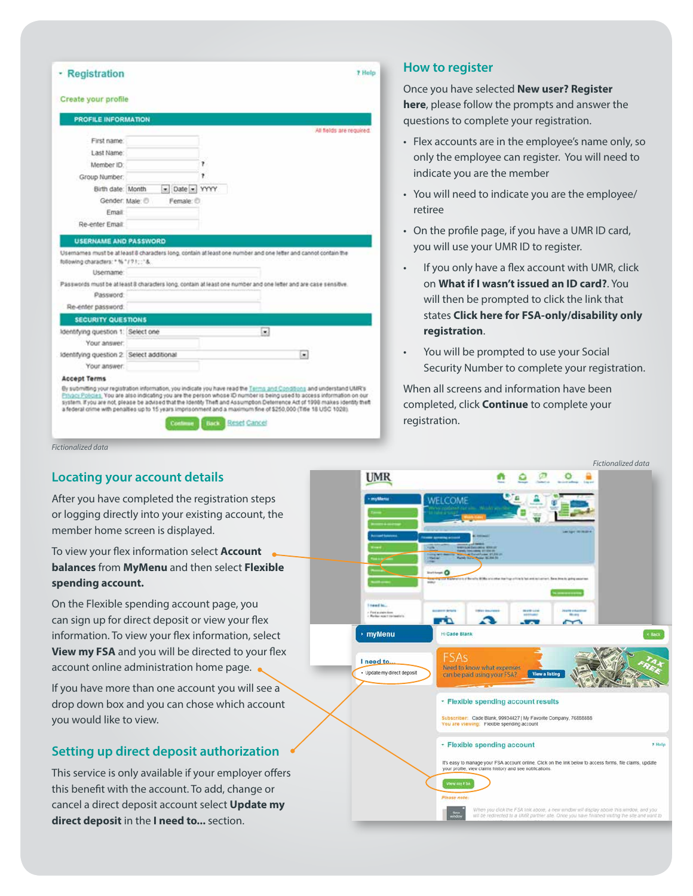| Create your profile                                              |               |   |                                                                                                                  |
|------------------------------------------------------------------|---------------|---|------------------------------------------------------------------------------------------------------------------|
| <b>PROFILE INFORMATION</b>                                       |               |   |                                                                                                                  |
|                                                                  |               |   | All fields are required.                                                                                         |
| First name:                                                      |               |   |                                                                                                                  |
| Last Name:                                                       |               |   |                                                                                                                  |
| Member ID:                                                       |               | 7 |                                                                                                                  |
| Group Number:                                                    |               | 7 |                                                                                                                  |
| Birth date: Month                                                | - Date - YYYY |   |                                                                                                                  |
| Gender: Male: @                                                  | Female: O     |   |                                                                                                                  |
| Email                                                            |               |   |                                                                                                                  |
| Re-enter Email:                                                  |               |   |                                                                                                                  |
| <b>USERNAME AND PASSWORD</b>                                     |               |   |                                                                                                                  |
|                                                                  |               |   |                                                                                                                  |
|                                                                  |               |   | Usernames must be at least 8 characters long, contain at least one number and one letter and cannot contain the  |
| following characters: * % "/ ? !:: "&<br>Username:               |               |   |                                                                                                                  |
|                                                                  |               |   | Passwords must be at least 8 characters long, contain at least one number and one letter and are case sensitive. |
| Password:                                                        |               |   |                                                                                                                  |
| Re-enter password:                                               |               |   |                                                                                                                  |
| SECURITY QUESTIONS                                               |               |   |                                                                                                                  |
| Identifying question 1: Select one                               |               |   | ×ì                                                                                                               |
| Your answer:                                                     |               |   |                                                                                                                  |
|                                                                  |               |   | ۰                                                                                                                |
| Your answer:                                                     |               |   |                                                                                                                  |
| Identifying question 2. Select additional<br><b>Accept Terms</b> |               |   |                                                                                                                  |

*Fictionalized data*

#### **Locating your account details**

After you have completed the registration steps or logging directly into your existing account, the member home screen is displayed.

To view your flex information select **Account balances** from **MyMenu** and then select **Flexible spending account.**

On the Flexible spending account page, you can sign up for direct deposit or view your flex information. To view your flex information, select **View my FSA** and you will be directed to your flex account online administration home page. .

If you have more than one account you will see a drop down box and you can chose which account you would like to view.

#### **Setting up direct deposit authorization**

This service is only available if your employer offers this benefit with the account. To add, change or cancel a direct deposit account select **Update my direct deposit** in the **I need to...** section.

#### **How to register**

Once you have selected **New user? Register here**, please follow the prompts and answer the questions to complete your registration.

- Flex accounts are in the employee's name only, so only the employee can register. You will need to indicate you are the member
- You will need to indicate you are the employee/ retiree
- On the profile page, if you have a UMR ID card, you will use your UMR ID to register.
- If you only have a flex account with UMR, click on **What if I wasn't issued an ID card?**. You will then be prompted to click the link that states **Click here for FSA-only/disability only registration**.
- You will be prompted to use your Social Security Number to complete your registration.

When all screens and information have been completed, click **Continue** to complete your registration.

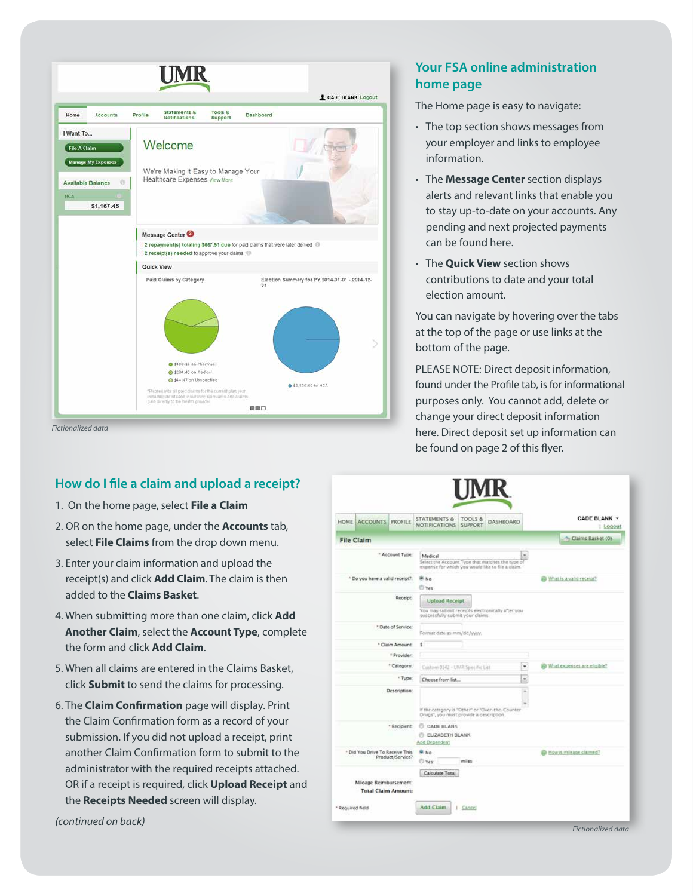

*Fictionalized data*

#### **How do I file a claim and upload a receipt?**

- 1. On the home page, select **File a Claim**
- 2. OR on the home page, under the **Accounts** tab, select **File Claims** from the drop down menu.
- 3. Enter your claim information and upload the receipt(s) and click **Add Claim**. The claim is then added to the **Claims Basket**.
- 4. When submitting more than one claim, click **Add Another Claim**, select the **Account Type**, complete the form and click **Add Claim**.
- 5. When all claims are entered in the Claims Basket, click **Submit** to send the claims for processing.
- 6. The **Claim Confirmation** page will display. Print the Claim Confirmation form as a record of your submission. If you did not upload a receipt, print another Claim Confirmation form to submit to the administrator with the required receipts attached. OR if a receipt is required, click **Upload Receipt** and the **Receipts Needed** screen will display.

### **Your FSA online administration home page**

The Home page is easy to navigate:

- The top section shows messages from your employer and links to employee information.
- The **Message Center** section displays alerts and relevant links that enable you to stay up-to-date on your accounts. Any pending and next projected payments can be found here.
- The **Quick View** section shows contributions to date and your total election amount.

You can navigate by hovering over the tabs at the top of the page or use links at the bottom of the page.

PLEASE NOTE: Direct deposit information, found under the Profile tab, is for informational purposes only. You cannot add, delete or change your direct deposit information here. Direct deposit set up information can be found on page 2 of this flyer.

|                                                                     | HOME ACCOUNTS PROFILE                                |                  | <b>STATEMENTS &amp;</b><br><b>NOTIFICATIONS</b>                                                                  | <b>TOOLS &amp;</b><br><b>SUPPORT</b> | <b>DASH&amp;OARD</b> |   |  | CADE BLANK +<br>  Logout             |
|---------------------------------------------------------------------|------------------------------------------------------|------------------|------------------------------------------------------------------------------------------------------------------|--------------------------------------|----------------------|---|--|--------------------------------------|
|                                                                     | <b>File Claim</b>                                    |                  |                                                                                                                  |                                      |                      |   |  | - Claims Basket (0)                  |
|                                                                     |                                                      | * Account Type:  | Medical<br>Select the Account Type that matches the type of<br>expense for which you would like to file a claim. |                                      |                      | ۰ |  |                                      |
| * Do you have a valid receipt?:                                     |                                                      | <b>单 No</b>      |                                                                                                                  | www. What is a valid receipt?        |                      |   |  |                                      |
|                                                                     |                                                      |                  | <b>O</b> Yes                                                                                                     |                                      |                      |   |  |                                      |
|                                                                     |                                                      | Receipt          | Upload Receipt<br>You may submit receipts electronically after you<br>successfully submit your claims.           |                                      |                      |   |  |                                      |
| * Date of Service:<br>* Claim Amount:<br>* Provider:<br>* Category: |                                                      |                  | Format date as mm/dd/yyyy.                                                                                       |                                      |                      |   |  |                                      |
|                                                                     |                                                      |                  | ś                                                                                                                |                                      |                      |   |  |                                      |
|                                                                     |                                                      |                  |                                                                                                                  |                                      |                      |   |  |                                      |
|                                                                     |                                                      |                  | Custom 0142 - UMR Specific List                                                                                  |                                      |                      | ٠ |  | What expenses are eligible?          |
| * Type:                                                             |                                                      | Choose from list |                                                                                                                  |                                      | ×                    |   |  |                                      |
|                                                                     |                                                      | Description:     | If the category is "Other" or "Over-the-Counter<br>Drugs', you must provide a description.                       |                                      |                      | × |  |                                      |
|                                                                     |                                                      | * Recipient:     | C CADE BLANK<br><b>ELIZABETH BLANK</b><br>Add Dependent                                                          |                                      |                      |   |  |                                      |
| * Did You Drive To Receive This<br>Product/Service?                 |                                                      |                  | <b>U.</b> No.<br>Yes:                                                                                            | miles.                               |                      |   |  | <sup>2</sup> How is mileage claimed? |
|                                                                     | Mileage Reimbursement:<br><b>Total Claim Amount:</b> |                  | Calculate Total                                                                                                  |                                      |                      |   |  |                                      |

*(continued on back)*

*Fictionalized data*